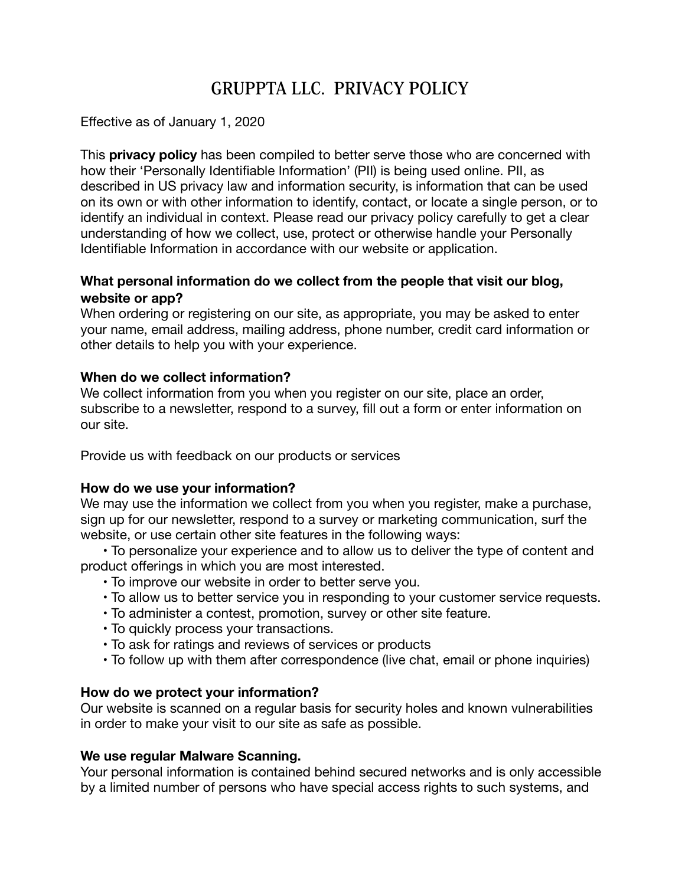# **GRUPPTA LLC. PRIVACY POLICY**

### Effective as of January 1, 2020

This **privacy policy** has been compiled to better serve those who are concerned with how their 'Personally Identifiable Information' (PII) is being used online. PII, as described in US privacy law and information security, is information that can be used on its own or with other information to identify, contact, or locate a single person, or to identify an individual in context. Please read our privacy policy carefully to get a clear understanding of how we collect, use, protect or otherwise handle your Personally Identifiable Information in accordance with our website or application.

## **What personal information do we collect from the people that visit our blog, website or app?**

When ordering or registering on our site, as appropriate, you may be asked to enter your name, email address, mailing address, phone number, credit card information or other details to help you with your experience.

## **When do we collect information?**

We collect information from you when you register on our site, place an order, subscribe to a newsletter, respond to a survey, fill out a form or enter information on our site.

Provide us with feedback on our products or services

#### **How do we use your information?**

We may use the information we collect from you when you register, make a purchase, sign up for our newsletter, respond to a survey or marketing communication, surf the website, or use certain other site features in the following ways:

 • To personalize your experience and to allow us to deliver the type of content and product offerings in which you are most interested.

- To improve our website in order to better serve you.
- To allow us to better service you in responding to your customer service requests.
- To administer a contest, promotion, survey or other site feature.
- To quickly process your transactions.
- To ask for ratings and reviews of services or products
- To follow up with them after correspondence (live chat, email or phone inquiries)

#### **How do we protect your information?**

Our website is scanned on a regular basis for security holes and known vulnerabilities in order to make your visit to our site as safe as possible.

#### **We use regular Malware Scanning.**

Your personal information is contained behind secured networks and is only accessible by a limited number of persons who have special access rights to such systems, and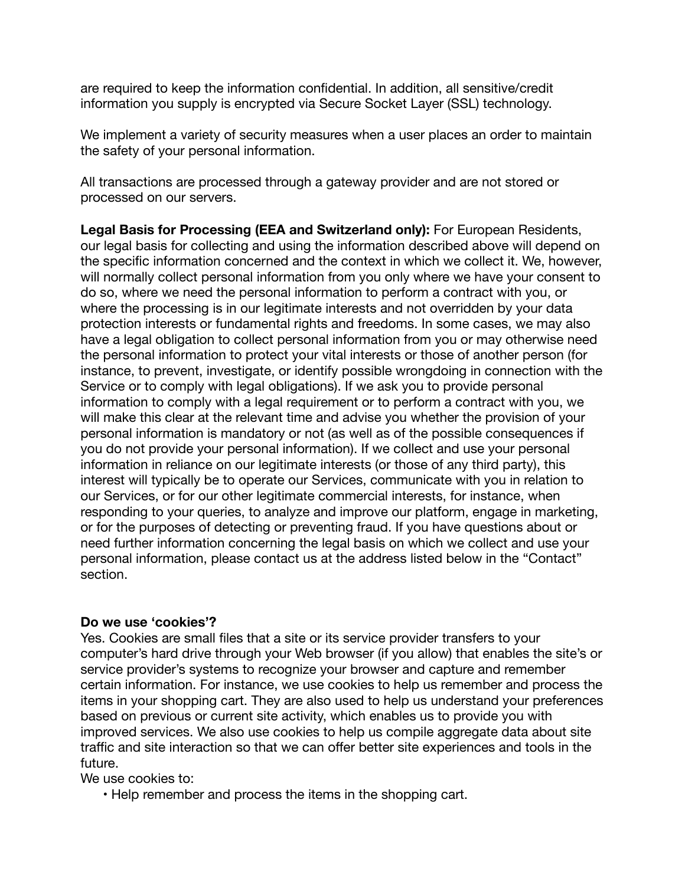are required to keep the information confidential. In addition, all sensitive/credit information you supply is encrypted via Secure Socket Layer (SSL) technology.

We implement a variety of security measures when a user places an order to maintain the safety of your personal information.

All transactions are processed through a gateway provider and are not stored or processed on our servers.

**Legal Basis for Processing (EEA and Switzerland only):** For European Residents, our legal basis for collecting and using the information described above will depend on the specific information concerned and the context in which we collect it. We, however, will normally collect personal information from you only where we have your consent to do so, where we need the personal information to perform a contract with you, or where the processing is in our legitimate interests and not overridden by your data protection interests or fundamental rights and freedoms. In some cases, we may also have a legal obligation to collect personal information from you or may otherwise need the personal information to protect your vital interests or those of another person (for instance, to prevent, investigate, or identify possible wrongdoing in connection with the Service or to comply with legal obligations). If we ask you to provide personal information to comply with a legal requirement or to perform a contract with you, we will make this clear at the relevant time and advise you whether the provision of your personal information is mandatory or not (as well as of the possible consequences if you do not provide your personal information). If we collect and use your personal information in reliance on our legitimate interests (or those of any third party), this interest will typically be to operate our Services, communicate with you in relation to our Services, or for our other legitimate commercial interests, for instance, when responding to your queries, to analyze and improve our platform, engage in marketing, or for the purposes of detecting or preventing fraud. If you have questions about or need further information concerning the legal basis on which we collect and use your personal information, please contact us at the address listed below in the "Contact" section.

#### **Do we use 'cookies'?**

Yes. Cookies are small files that a site or its service provider transfers to your computer's hard drive through your Web browser (if you allow) that enables the site's or service provider's systems to recognize your browser and capture and remember certain information. For instance, we use cookies to help us remember and process the items in your shopping cart. They are also used to help us understand your preferences based on previous or current site activity, which enables us to provide you with improved services. We also use cookies to help us compile aggregate data about site traffic and site interaction so that we can offer better site experiences and tools in the future.

We use cookies to:

• Help remember and process the items in the shopping cart.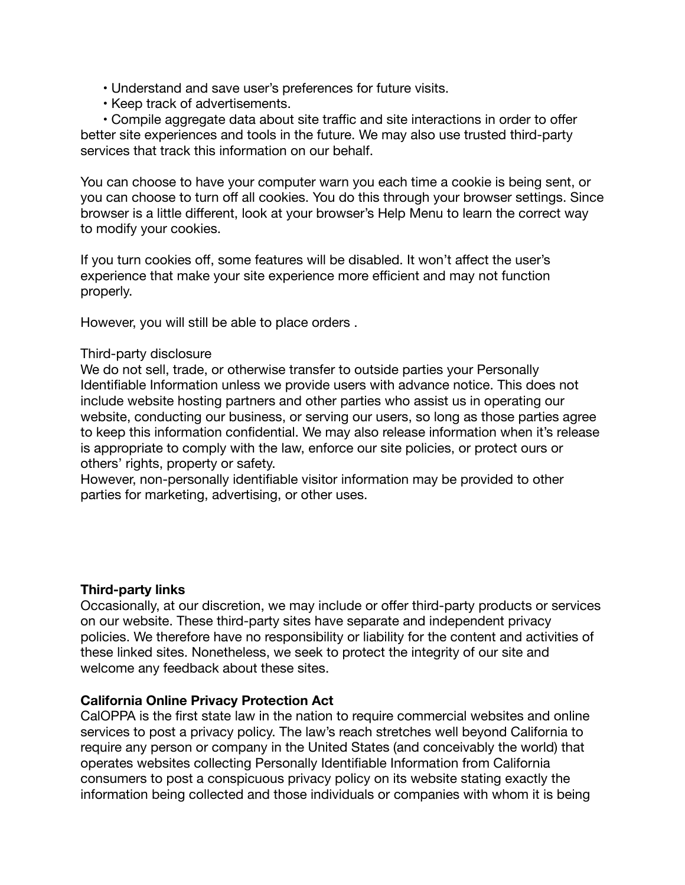- Understand and save user's preferences for future visits.
- Keep track of advertisements.

 • Compile aggregate data about site traffic and site interactions in order to offer better site experiences and tools in the future. We may also use trusted third-party services that track this information on our behalf.

You can choose to have your computer warn you each time a cookie is being sent, or you can choose to turn off all cookies. You do this through your browser settings. Since browser is a little different, look at your browser's Help Menu to learn the correct way to modify your cookies.

If you turn cookies off, some features will be disabled. It won't affect the user's experience that make your site experience more efficient and may not function properly.

However, you will still be able to place orders .

#### Third-party disclosure

We do not sell, trade, or otherwise transfer to outside parties your Personally Identifiable Information unless we provide users with advance notice. This does not include website hosting partners and other parties who assist us in operating our website, conducting our business, or serving our users, so long as those parties agree to keep this information confidential. We may also release information when it's release is appropriate to comply with the law, enforce our site policies, or protect ours or others' rights, property or safety.

However, non-personally identifiable visitor information may be provided to other parties for marketing, advertising, or other uses.

#### **Third-party links**

Occasionally, at our discretion, we may include or offer third-party products or services on our website. These third-party sites have separate and independent privacy policies. We therefore have no responsibility or liability for the content and activities of these linked sites. Nonetheless, we seek to protect the integrity of our site and welcome any feedback about these sites.

#### **California Online Privacy Protection Act**

CalOPPA is the first state law in the nation to require commercial websites and online services to post a privacy policy. The law's reach stretches well beyond California to require any person or company in the United States (and conceivably the world) that operates websites collecting Personally Identifiable Information from California consumers to post a conspicuous privacy policy on its website stating exactly the information being collected and those individuals or companies with whom it is being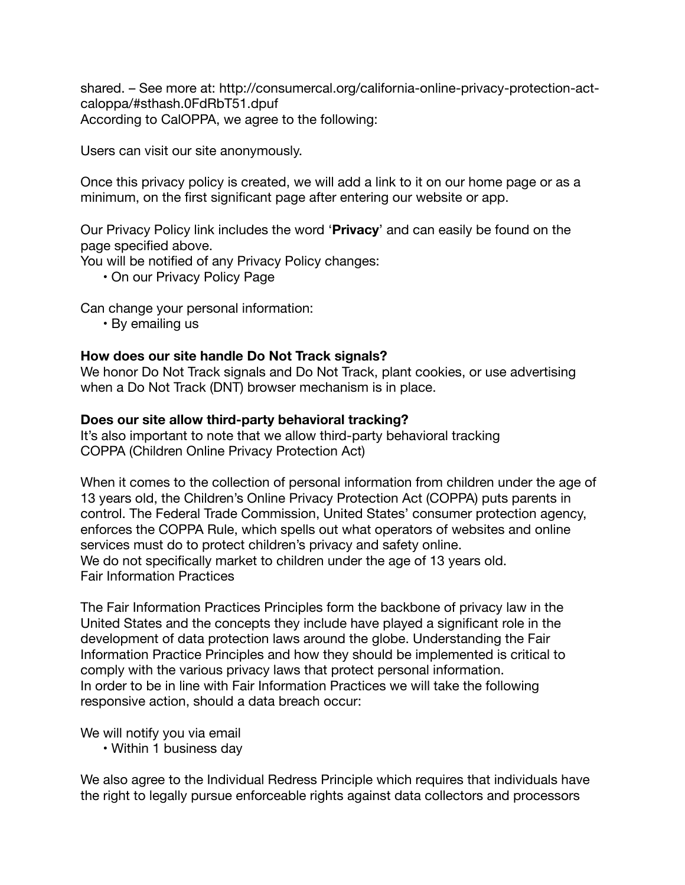shared. – See more at: http://consumercal.org/california-online-privacy-protection-actcaloppa/#sthash.0FdRbT51.dpuf According to CalOPPA, we agree to the following:

Users can visit our site anonymously.

Once this privacy policy is created, we will add a link to it on our home page or as a minimum, on the first significant page after entering our website or app.

Our Privacy Policy link includes the word '**Privacy**' and can easily be found on the page specified above.

You will be notified of any Privacy Policy changes:

• On our Privacy Policy Page

Can change your personal information:

• By emailing us

#### **How does our site handle Do Not Track signals?**

We honor Do Not Track signals and Do Not Track, plant cookies, or use advertising when a Do Not Track (DNT) browser mechanism is in place.

#### **Does our site allow third-party behavioral tracking?**

It's also important to note that we allow third-party behavioral tracking COPPA (Children Online Privacy Protection Act)

When it comes to the collection of personal information from children under the age of 13 years old, the Children's Online Privacy Protection Act (COPPA) puts parents in control. The Federal Trade Commission, United States' consumer protection agency, enforces the COPPA Rule, which spells out what operators of websites and online services must do to protect children's privacy and safety online. We do not specifically market to children under the age of 13 years old. Fair Information Practices

The Fair Information Practices Principles form the backbone of privacy law in the United States and the concepts they include have played a significant role in the development of data protection laws around the globe. Understanding the Fair Information Practice Principles and how they should be implemented is critical to comply with the various privacy laws that protect personal information. In order to be in line with Fair Information Practices we will take the following responsive action, should a data breach occur:

We will notify you via email

• Within 1 business day

We also agree to the Individual Redress Principle which requires that individuals have the right to legally pursue enforceable rights against data collectors and processors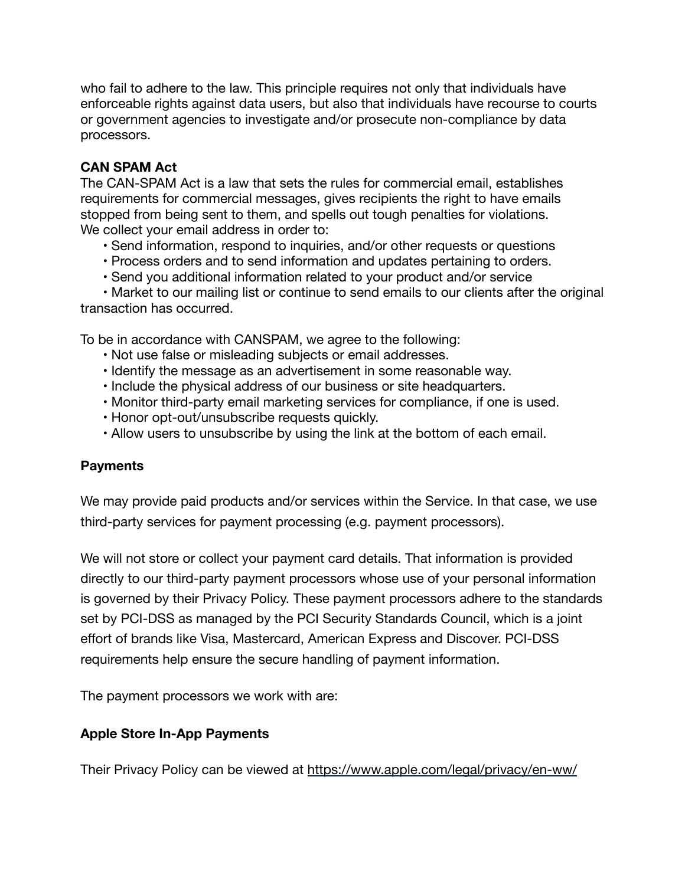who fail to adhere to the law. This principle requires not only that individuals have enforceable rights against data users, but also that individuals have recourse to courts or government agencies to investigate and/or prosecute non-compliance by data processors.

# **CAN SPAM Act**

The CAN-SPAM Act is a law that sets the rules for commercial email, establishes requirements for commercial messages, gives recipients the right to have emails stopped from being sent to them, and spells out tough penalties for violations. We collect your email address in order to:

- Send information, respond to inquiries, and/or other requests or questions
- Process orders and to send information and updates pertaining to orders.
- Send you additional information related to your product and/or service

 • Market to our mailing list or continue to send emails to our clients after the original transaction has occurred.

To be in accordance with CANSPAM, we agree to the following:

- Not use false or misleading subjects or email addresses.
- Identify the message as an advertisement in some reasonable way.
- Include the physical address of our business or site headquarters.
- Monitor third-party email marketing services for compliance, if one is used.
- Honor opt-out/unsubscribe requests quickly.
- Allow users to unsubscribe by using the link at the bottom of each email.

# **Payments**

We may provide paid products and/or services within the Service. In that case, we use third-party services for payment processing (e.g. payment processors).

We will not store or collect your payment card details. That information is provided directly to our third-party payment processors whose use of your personal information is governed by their Privacy Policy. These payment processors adhere to the standards set by PCI-DSS as managed by the PCI Security Standards Council, which is a joint effort of brands like Visa, Mastercard, American Express and Discover. PCI-DSS requirements help ensure the secure handling of payment information.

The payment processors we work with are:

# **Apple Store In-App Payments**

Their Privacy Policy can be viewed at <https://www.apple.com/legal/privacy/en-ww/>